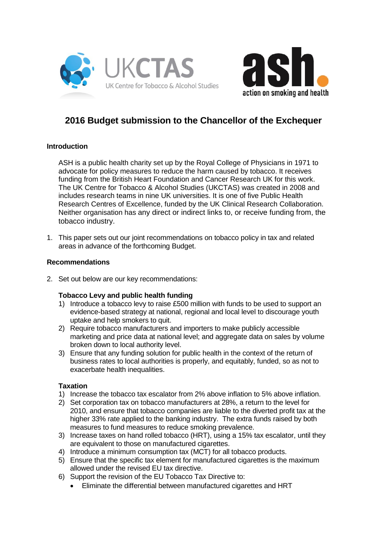



# **2016 Budget submission to the Chancellor of the Exchequer**

# **Introduction**

ASH is a public health charity set up by the Royal College of Physicians in 1971 to advocate for policy measures to reduce the harm caused by tobacco. It receives funding from the British Heart Foundation and Cancer Research UK for this work. The UK Centre for Tobacco & Alcohol Studies (UKCTAS) was created in 2008 and includes research teams in nine UK universities. It is one of five Public Health Research Centres of Excellence, funded by the UK Clinical Research Collaboration. Neither organisation has any direct or indirect links to, or receive funding from, the tobacco industry.

1. This paper sets out our joint recommendations on tobacco policy in tax and related areas in advance of the forthcoming Budget.

#### **Recommendations**

2. Set out below are our key recommendations:

#### **Tobacco Levy and public health funding**

- 1) Introduce a tobacco levy to raise £500 million with funds to be used to support an evidence-based strategy at national, regional and local level to discourage youth uptake and help smokers to quit.
- 2) Require tobacco manufacturers and importers to make publicly accessible marketing and price data at national level; and aggregate data on sales by volume broken down to local authority level.
- 3) Ensure that any funding solution for public health in the context of the return of business rates to local authorities is properly, and equitably, funded, so as not to exacerbate health inequalities.

#### **Taxation**

- 1) Increase the tobacco tax escalator from 2% above inflation to 5% above inflation.
- 2) Set corporation tax on tobacco manufacturers at 28%, a return to the level for 2010, and ensure that tobacco companies are liable to the diverted profit tax at the higher 33% rate applied to the banking industry. The extra funds raised by both measures to fund measures to reduce smoking prevalence.
- 3) Increase taxes on hand rolled tobacco (HRT), using a 15% tax escalator, until they are equivalent to those on manufactured cigarettes.
- 4) Introduce a minimum consumption tax (MCT) for all tobacco products.
- 5) Ensure that the specific tax element for manufactured cigarettes is the maximum allowed under the revised EU tax directive.
- 6) Support the revision of the EU Tobacco Tax Directive to:
	- Eliminate the differential between manufactured cigarettes and HRT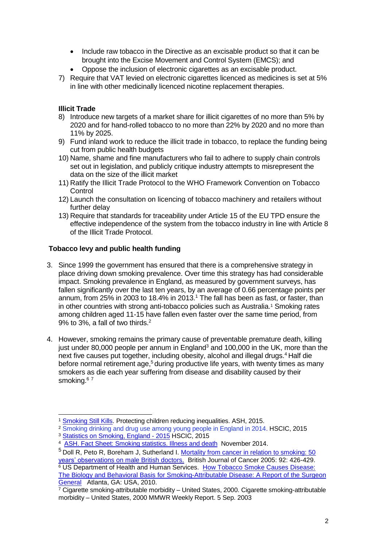- Include raw tobacco in the Directive as an excisable product so that it can be brought into the Excise Movement and Control System (EMCS); and
- Oppose the inclusion of electronic cigarettes as an excisable product.
- 7) Require that VAT levied on electronic cigarettes licenced as medicines is set at 5% in line with other medicinally licenced nicotine replacement therapies.

## **Illicit Trade**

- 8) Introduce new targets of a market share for illicit cigarettes of no more than 5% by 2020 and for hand-rolled tobacco to no more than 22% by 2020 and no more than 11% by 2025.
- 9) Fund inland work to reduce the illicit trade in tobacco, to replace the funding being cut from public health budgets
- 10) Name, shame and fine manufacturers who fail to adhere to supply chain controls set out in legislation, and publicly critique industry attempts to misrepresent the data on the size of the illicit market
- 11) Ratify the Illicit Trade Protocol to the WHO Framework Convention on Tobacco **Control**
- 12) Launch the consultation on licencing of tobacco machinery and retailers without further delay
- 13) Require that standards for traceability under Article 15 of the EU TPD ensure the effective independence of the system from the tobacco industry in line with Article 8 of the Illicit Trade Protocol.

#### **Tobacco levy and public health funding**

- <span id="page-1-0"></span>3. Since 1999 the government has ensured that there is a comprehensive strategy in place driving down smoking prevalence. Over time this strategy has had considerable impact. Smoking prevalence in England, as measured by government surveys, has fallen significantly over the last ten years, by an average of 0.66 percentage points per annum, from  $25\%$  in  $2003$  to  $18.4\%$  in  $2013$ .<sup>1</sup> The fall has been as fast, or faster, than in other countries with strong anti-tobacco policies such as Australia.[1](#page-1-0) Smoking rates among children aged 11-15 have fallen even faster over the same time period, from 9% to 3%, a fall of two thirds.<sup>2</sup>
- 4. However, smoking remains the primary cause of preventable premature death, killing just under 80,000 people per annum in England<sup>3</sup> and 100,000 in the UK, more than the next five causes put together, including obesity, alcohol and illegal drugs.<sup>4</sup> Half die before normal retirement age,<sup>5</sup> during productive life years, with twenty times as many smokers as die each year suffering from disease and disability caused by their smoking.<sup>67</sup>

<sup>-</sup><sup>1</sup> [Smoking Still Kills.](http://www.ash.org.uk/files/documents/ASH_962.pdf) Protecting children reducing inequalities. ASH, 2015.

<sup>&</sup>lt;sup>2</sup> Smoking drinking and drug use among young people in England in 2014. HSCIC, 2015 <sup>3</sup> [Statistics on Smoking, England -](http://www.hscic.gov.uk/catalogue/PUB17526) 2015 HSCIC, 2015

<sup>&</sup>lt;sup>4</sup> [ASH. Fact Sheet: Smoking statistics. Illness and death](http://ash.org.uk/files/documents/ASH_107.pdf) November 2014.

<sup>5</sup> Doll R, Peto R, Boreham J, Sutherland I. [Mortality from cancer in relation to smoking: 50](http://www.bmj.com/content/328/7455/1519.lon)  [years' observations on male British doctors.](http://www.bmj.com/content/328/7455/1519.lon) British Journal of Cancer 2005: 92: 426-429. <sup>6</sup> US Department of Health and Human Services. [How Tobacco Smoke Causes Disease:](http://www.surgeongeneral.gov/library/reports/)  The Biology and Behavioral Basis [for Smoking-Attributable Disease: A Report of the Surgeon](http://www.surgeongeneral.gov/library/reports/)  [General](http://www.surgeongeneral.gov/library/reports/) Atlanta, GA: USA, 2010.

 $\frac{7}{7}$  Cigarette smoking-attributable morbidity – United States, 2000. Cigarette smoking-attributable morbidity – United States, 2000 MMWR Weekly Report. 5 Sep. 2003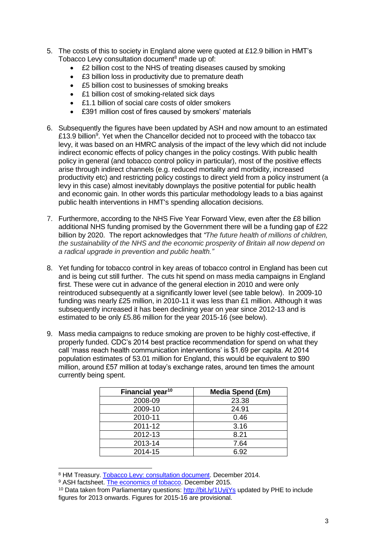- 5. The costs of this to society in England alone were quoted at £12.9 billion in HMT's Tobacco Levy consultation document<sup>8</sup> made up of:
	- £2 billion cost to the NHS of treating diseases caused by smoking
	- £3 billion loss in productivity due to premature death
	- £5 billion cost to businesses of smoking breaks
	- £1 billion cost of smoking-related sick days
	- £1.1 billion of social care costs of older smokers
	- £391 million cost of fires caused by smokers' materials
- 6. Subsequently the figures have been updated by ASH and now amount to an estimated £13.9 billion<sup>9</sup>. Yet when the Chancellor decided not to proceed with the tobacco tax levy, it was based on an HMRC analysis of the impact of the levy which did not include indirect economic effects of policy changes in the policy costings. With public health policy in general (and tobacco control policy in particular), most of the positive effects arise through indirect channels (e.g. reduced mortality and morbidity, increased productivity etc) and restricting policy costings to direct yield from a policy instrument (a levy in this case) almost inevitably downplays the positive potential for public health and economic gain. In other words this particular methodology leads to a bias against public health interventions in HMT's spending allocation decisions.
- 7. Furthermore, according to the NHS Five Year Forward View, even after the £8 billion additional NHS funding promised by the Government there will be a funding gap of £22 billion by 2020. The report acknowledges that *"The future health of millions of children, the sustainability of the NHS and the economic prosperity of Britain all now depend on a radical upgrade in prevention and public health."*
- 8. Yet funding for tobacco control in key areas of tobacco control in England has been cut and is being cut still further. The cuts hit spend on mass media campaigns in England first. These were cut in advance of the general election in 2010 and were only reintroduced subsequently at a significantly lower level (see table below). In 2009-10 funding was nearly £25 million, in 2010-11 it was less than £1 million. Although it was subsequently increased it has been declining year on year since 2012-13 and is estimated to be only £5.86 million for the year 2015-16 (see below).
- 9. Mass media campaigns to reduce smoking are proven to be highly cost-effective, if properly funded. CDC's 2014 best practice recommendation for spend on what they call 'mass reach health communication interventions' is \$1.69 per capita. At 2014 population estimates of 53.01 million for England, this would be equivalent to \$90 million, around £57 million at today's exchange rates, around ten times the amount currently being spent.

| Financial year <sup>10</sup> | Media Spend (£m) |
|------------------------------|------------------|
| 2008-09                      | 23.38            |
| 2009-10                      | 24.91            |
| 2010-11                      | 0.46             |
| 2011-12                      | 3.16             |
| 2012-13                      | 8.21             |
| 2013-14                      | 7.64             |
| 2014-15                      | 6.92             |

<sup>8</sup> HM Treasury. [Tobacco Levy: consultation document.](https://www.gov.uk/government/uploads/system/uploads/attachment_data/file/384769/tobacco_levy_consultation.pdf) December 2014.

<sup>9</sup> ASH factsheet. [The economics of tobacco.](http://www.ash.org.uk/files/documents/ASH_121.pdf) December 2015.

<sup>&</sup>lt;sup>10</sup> Data taken from Parliamentary questions:<http://bit.ly/1UyijYs> updated by PHE to include figures for 2013 onwards. Figures for 2015-16 are provisional.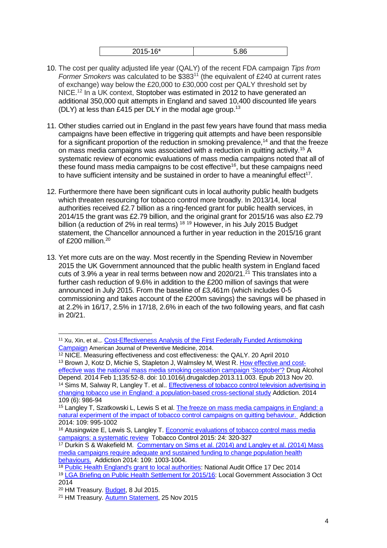|--|

- 10. The cost per quality adjusted life year (QALY) of the recent FDA campaign *Tips from Former Smokers* was calculated to be \$383<sup>11</sup> (the equivalent of £240 at current rates of exchange) way below the £20,000 to £30,000 cost per QALY threshold set by NICE.<sup>12</sup> In a UK context, Stoptober was estimated in 2012 to have generated an additional 350,000 quit attempts in England and saved 10,400 discounted life years (DLY) at less than £415 per DLY in the modal age group.<sup>13</sup>
- 11. Other studies carried out in England in the past few years have found that mass media campaigns have been effective in triggering quit attempts and have been responsible for a significant proportion of the reduction in smoking prevalence,<sup>14</sup> and that the freeze on mass media campaigns was associated with a reduction in quitting activity.<sup>15</sup> A systematic review of economic evaluations of mass media campaigns noted that all of these found mass media campaigns to be cost effective<sup>16</sup>, but these campaigns need to have sufficient intensity and be sustained in order to have a meaningful effect<sup>17</sup>.
- 12. Furthermore there have been significant cuts in local authority public health budgets which threaten resourcing for tobacco control more broadly. In 2013/14, local authorities received £2.7 billion as a ring-fenced grant for public health services, in 2014/15 the grant was £2.79 billion, and the original grant for 2015/16 was also £2.79 billion (a reduction of 2% in real terms)<sup>18</sup> <sup>19</sup> However, in his July 2015 Budget statement, the Chancellor announced a further in year reduction in the 2015/16 grant of £200 million.<sup>20</sup>
- 13. Yet more cuts are on the way. Most recently in the Spending Review in November 2015 the UK Government announced that the public health system in England faced cuts of 3.9% a year in real terms between now and 2020/21.<sup>21</sup> This translates into a further cash reduction of 9.6% in addition to the £200 million of savings that were announced in July 2015. From the baseline of £3,461m (which includes 0-5 commissioning and takes account of the £200m savings) the savings will be phased in at 2.2% in 16/17, 2.5% in 17/18, 2.6% in each of the two following years, and flat cash in 20/21.

<span id="page-3-0"></span><sup>&</sup>lt;sup>11</sup> Xu, Xin, et al.,. Cost-Effectiveness Analysis of the First Federally Funded Antismoking [Campaign](http://www.ajpmonline.org/article/S0749-3797(14)00615-1/abstract) American Journal of Preventive Medicine, 2014.

<sup>&</sup>lt;sup>12</sup> NICE. Measuring effectiveness and cost effectiveness: the QALY. 20 April 2010 <sup>13</sup> [Brown J,](http://www.ncbi.nlm.nih.gov/pubmed/?term=Brown%20J%5BAuthor%5D&cauthor=true&cauthor_uid=24322004) [Kotz D,](http://www.ncbi.nlm.nih.gov/pubmed/?term=Kotz%20D%5BAuthor%5D&cauthor=true&cauthor_uid=24322004) [Michie S,](http://www.ncbi.nlm.nih.gov/pubmed/?term=Michie%20S%5BAuthor%5D&cauthor=true&cauthor_uid=24322004) [Stapleton J,](http://www.ncbi.nlm.nih.gov/pubmed/?term=Stapleton%20J%5BAuthor%5D&cauthor=true&cauthor_uid=24322004) [Walmsley M,](http://www.ncbi.nlm.nih.gov/pubmed/?term=Walmsley%20M%5BAuthor%5D&cauthor=true&cauthor_uid=24322004) [West R.](http://www.ncbi.nlm.nih.gov/pubmed/?term=West%20R%5BAuthor%5D&cauthor=true&cauthor_uid=24322004) [How effective and cost](http://www.ncbi.nlm.nih.gov/pubmed/24322004)[effective was the national mass media smoking cessation campaign 'Stoptober'?](http://www.ncbi.nlm.nih.gov/pubmed/24322004) [Drug Alcohol](http://www.ncbi.nlm.nih.gov/pubmed/24322004)  [Depend.](http://www.ncbi.nlm.nih.gov/pubmed/24322004) 2014 Feb 1;135:52-8. doi: 10.1016/j.drugalcdep.2013.11.003. Epub 2013 Nov 20. <sup>14</sup> Sims M, Salway R, Langley T. et al.. Effectiveness of tobacco control television advertising in [changing tobacco use in England: a population-based cross-sectional study](http://www.ncbi.nlm.nih.gov/pubmed/24467285) Addiction. 2014 109 (6): 986-94

<sup>15</sup> Langley T, Szatkowski L, Lewis S et al. [The freeze on mass media campaigns in England: a](http://onlinelibrary.wiley.com/doi/10.1111/add.12448/abstract)  [natural experiment of the impact of tobacco control campaigns on quitting behaviour.](http://onlinelibrary.wiley.com/doi/10.1111/add.12448/abstract) Addiction 2014: 109: 995-1002

<sup>16</sup> Atusingwize E, Lewis S, Langley T. Economic evaluations of tobacco control mass media [campaigns: a systematic review](http://tobaccocontrol.bmj.com/content/24/4/320.full) Tobacco Control 2015: 24: 320-327

<sup>&</sup>lt;sup>17</sup> Durkin S & Wakefield M. Commentary on Sims et al. (2014) and Langley et al. (2014) Mass [media campaigns require adequate and sustained funding to change population health](http://onlinelibrary.wiley.com/doi/10.1111/add.12564/abstract)  [behaviours.](http://onlinelibrary.wiley.com/doi/10.1111/add.12564/abstract) Addiction 2014: 109: 1003-1004.

<sup>&</sup>lt;sup>18</sup> [Public Health England's grant to local authorities:](https://www.nao.org.uk/wp-content/uploads/2014/12/Public-health-england%E2%80%99s-grant-to-local-authorities.pdf) National Audit Office 17 Dec 2014 <sup>19</sup> [LGA Briefing on Public Health Settlement for 2015/16:](http://www.local.gov.uk/documents/10180/11607/Briefing+on+public+health+funding+settlement+September+2014/d751f317-8843-450c-9e4a-82c676b656fe) Local Government Association 3 Oct 2014

<sup>&</sup>lt;sup>20</sup> HM Treasury. **Budget**, 8 Jul 2015.

<sup>&</sup>lt;sup>21</sup> HM Treasury. [Autumn Statement,](https://www.gov.uk/government/topical-events/autumn-statement-and-spending-review-2015) 25 Nov 2015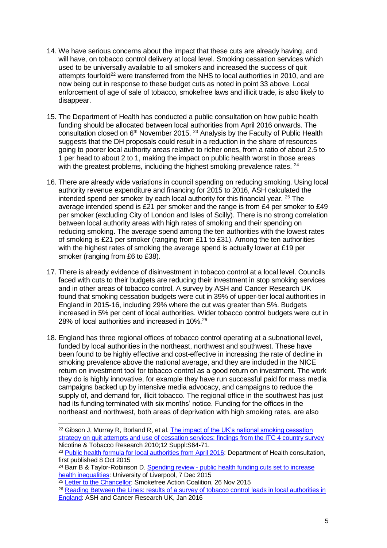- 14. We have serious concerns about the impact that these cuts are already having, and will have, on tobacco control delivery at local level. Smoking cessation services which used to be universally available to all smokers and increased the success of quit attempts fourfold<sup>22</sup> were transferred from the NHS to local authorities in 2010, and are now being cut in response to these budget cuts as noted in point 33 above. Local enforcement of age of sale of tobacco, smokefree laws and illicit trade, is also likely to disappear.
- 15. The Department of Health has conducted a public consultation on how public health funding should be allocated between local authorities from April 2016 onwards. The consultation closed on 6th November 2015. <sup>23</sup> Analysis by the Faculty of Public Health suggests that the DH proposals could result in a reduction in the share of resources going to poorer local authority areas relative to richer ones, from a ratio of about 2.5 to 1 per head to about 2 to 1, making the impact on public health worst in those areas with the greatest problems, including the highest smoking prevalence rates. <sup>24</sup>
- 16. There are already wide variations in council spending on reducing smoking. Using local authority revenue expenditure and financing for 2015 to 2016, ASH calculated the intended spend per smoker by each local authority for this financial year. <sup>25</sup> The average intended spend is £21 per smoker and the range is from £4 per smoker to £49 per smoker (excluding City of London and Isles of Scilly). There is no strong correlation between local authority areas with high rates of smoking and their spending on reducing smoking. The average spend among the ten authorities with the lowest rates of smoking is £21 per smoker (ranging from £11 to £31). Among the ten authorities with the highest rates of smoking the average spend is actually lower at £19 per smoker (ranging from £6 to £38).
- 17. There is already evidence of disinvestment in tobacco control at a local level. Councils faced with cuts to their budgets are reducing their investment in stop smoking services and in other areas of tobacco control. A survey by ASH and Cancer Research UK found that smoking cessation budgets were cut in 39% of upper-tier local authorities in England in 2015-16, including 29% where the cut was greater than 5%. Budgets increased in 5% per cent of local authorities. Wider tobacco control budgets were cut in 28% of local authorities and increased in 10%.<sup>26</sup>
- 18. England has three regional offices of tobacco control operating at a subnational level, funded by local authorities in the northeast, northwest and southwest. These have been found to be highly effective and cost-effective in increasing the rate of decline in smoking prevalence above the national average, and they are included in the NICE return on investment tool for tobacco control as a good return on investment. The work they do is highly innovative, for example they have run successful paid for mass media campaigns backed up by intensive media advocacy, and campaigns to reduce the supply of, and demand for, illicit tobacco. The regional office in the southwest has just had its funding terminated with six months' notice. Funding for the offices in the northeast and northwest, both areas of deprivation with high smoking rates, are also

<sup>&</sup>lt;sup>22</sup> Gibson J, Murray R, Borland R, et al. The impact of the UK's national smoking cessation [strategy on quit attempts and use of cessation services: findings from the ITC 4 country survey](http://itcproject.musc.edu/?page_id=1084) Nicotine & Tobacco Research 2010;12 Suppl:S64-71.

<sup>&</sup>lt;sup>23</sup> [Public health formula for local authorities from April 2016:](https://www.gov.uk/government/consultations/public-health-formula-for-local-authorities-from-april-2016) Department of Health consultation, first published 8 Oct 2015

<sup>&</sup>lt;sup>24</sup> Barr B & Taylor-Robinson D. Spending review - public health funding cuts set to increase [health inequalities:](http://betterhealthforall.org/2015/12/07/2015-spending-review-public-health-funding-cuts-set-to-increase-health-inequalities/) University of Liverpool, 7 Dec 2015

<sup>&</sup>lt;sup>25</sup> [Letter to the Chancellor:](http://www.ash.org.uk/files/documents/ASH_999.pdf) Smokefree Action Coalition, 26 Nov 2015

<sup>&</sup>lt;sup>26</sup> Reading Between the Lines: results of a survey of tobacco control leads in local authorities in [England:](http://www.ash.org.uk/localtoolkit/docs/AnnualTCreport16.pdf) ASH and Cancer Research UK, Jan 2016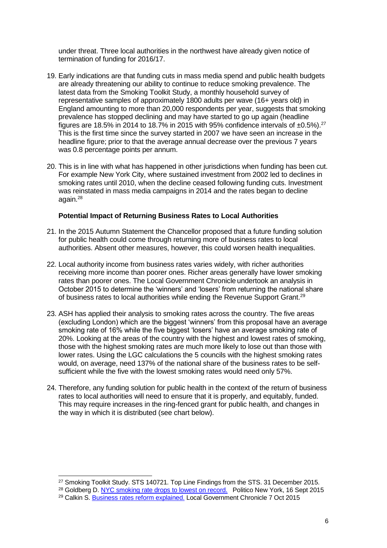under threat. Three local authorities in the northwest have already given notice of termination of funding for 2016/17.

- 19. Early indications are that funding cuts in mass media spend and public health budgets are already threatening our ability to continue to reduce smoking prevalence. The latest data from the Smoking Toolkit Study, a monthly household survey of representative samples of approximately 1800 adults per wave (16+ years old) in England amounting to more than 20,000 respondents per year, suggests that smoking prevalence has stopped declining and may have started to go up again (headline figures are 18.5% in 2014 to 18.7% in 2015 with 95% confidence intervals of  $\pm 0.5$ %).<sup>27</sup> This is the first time since the survey started in 2007 we have seen an increase in the headline figure; prior to that the average annual decrease over the previous 7 years was 0.8 percentage points per annum.
- 20. This is in line with what has happened in other jurisdictions when funding has been cut. For example New York City, where sustained investment from 2002 led to declines in smoking rates until 2010, when the decline ceased following funding cuts. Investment was reinstated in mass media campaigns in 2014 and the rates began to decline again.<sup>28</sup>

#### **Potential Impact of Returning Business Rates to Local Authorities**

- 21. In the 2015 Autumn Statement the Chancellor proposed that a future funding solution for public health could come through returning more of business rates to local authorities. Absent other measures, however, this could worsen health inequalities.
- 22. Local authority income from business rates varies widely, with richer authorities receiving more income than poorer ones. Richer areas generally have lower smoking rates than poorer ones. The Local Government Chronicle undertook an analysis in October 2015 to determine the 'winners' and 'losers' from returning the national share of business rates to local authorities while ending the Revenue Support Grant.<sup>29</sup>
- 23. ASH has applied their analysis to smoking rates across the country. The five areas (excluding London) which are the biggest 'winners' from this proposal have an average smoking rate of 16% while the five biggest 'losers' have an average smoking rate of 20%. Looking at the areas of the country with the highest and lowest rates of smoking, those with the highest smoking rates are much more likely to lose out than those with lower rates. Using the LGC calculations the 5 councils with the highest smoking rates would, on average, need 137% of the national share of the business rates to be selfsufficient while the five with the lowest smoking rates would need only 57%.
- 24. Therefore, any funding solution for public health in the context of the return of business rates to local authorities will need to ensure that it is properly, and equitably, funded. This may require increases in the ring-fenced grant for public health, and changes in the way in which it is distributed (see chart below).

<sup>1</sup> <sup>27</sup> Smoking Toolkit Study. STS 140721. Top Line Findings from the STS, 31 December 2015.

<sup>&</sup>lt;sup>28</sup> Goldberg D. [NYC smoking rate drops to lowest on record.](http://www.capitalnewyork.com/article/city-hall/2015/09/8576947/nyc-smoking-rate-drops-lowest-record) Politico New York, 16 Sept 2015 <sup>29</sup> Calkin S. [Business rates reform explained.](http://www.lgcplus.com/news/business-rates-reform-explained/5090908.article) Local Government Chronicle 7 Oct 2015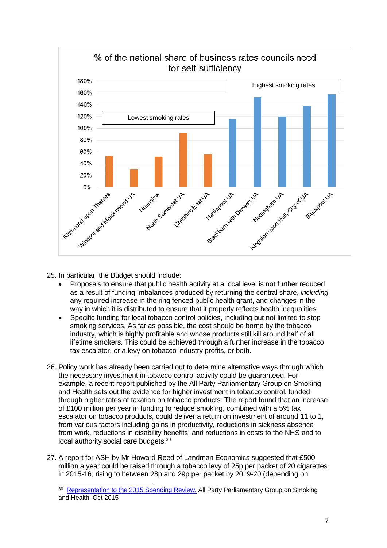

25. In particular, the Budget should include:

- Proposals to ensure that public health activity at a local level is not further reduced as a result of funding imbalances produced by returning the central share, *including* any required increase in the ring fenced public health grant, and changes in the way in which it is distributed to ensure that it properly reflects health inequalities
- Specific funding for local tobacco control policies, including but not limited to stop smoking services. As far as possible, the cost should be borne by the tobacco industry, which is highly profitable and whose products still kill around half of all lifetime smokers. This could be achieved through a further increase in the tobacco tax escalator, or a levy on tobacco industry profits, or both.
- 26. Policy work has already been carried out to determine alternative ways through which the necessary investment in tobacco control activity could be guaranteed. For example, a recent report published by the All Party Parliamentary Group on Smoking and Health sets out the evidence for higher investment in tobacco control, funded through higher rates of taxation on tobacco products. The report found that an increase of £100 million per year in funding to reduce smoking, combined with a 5% tax escalator on tobacco products, could deliver a return on investment of around 11 to 1, from various factors including gains in productivity, reductions in sickness absence from work, reductions in disability benefits, and reductions in costs to the NHS and to local authority social care budgets.<sup>30</sup>
- 27. A report for ASH by Mr Howard Reed of Landman Economics suggested that £500 million a year could be raised through a tobacco levy of 25p per packet of 20 cigarettes in 2015-16, rising to between 28p and 29p per packet by 2019-20 (depending on

<sup>&</sup>lt;sup>30</sup> [Representation to the 2015 Spending Review.](http://www.ash.org.uk/files/documents/ASH_977.pdf) All Party Parliamentary Group on Smoking and Health Oct 2015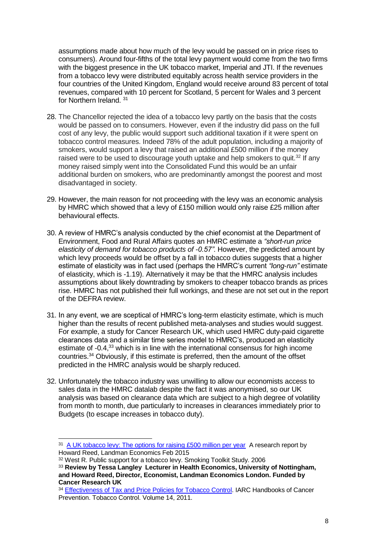assumptions made about how much of the levy would be passed on in price rises to consumers). Around four-fifths of the total levy payment would come from the two firms with the biggest presence in the UK tobacco market, Imperial and JTI. If the revenues from a tobacco levy were distributed equitably across health service providers in the four countries of the United Kingdom, England would receive around 83 percent of total revenues, compared with 10 percent for Scotland, 5 percent for Wales and 3 percent for Northern Ireland. <sup>31</sup>

- 28. The Chancellor rejected the idea of a tobacco levy partly on the basis that the costs would be passed on to consumers. However, even if the industry did pass on the full cost of any levy, the public would support such additional taxation if it were spent on tobacco control measures. Indeed 78% of the adult population, including a majority of smokers, would support a levy that raised an additional £500 million if the money raised were to be used to discourage youth uptake and help smokers to quit.<sup>32</sup> If any money raised simply went into the Consolidated Fund this would be an unfair additional burden on smokers, who are predominantly amongst the poorest and most disadvantaged in society.
- 29. However, the main reason for not proceeding with the levy was an economic analysis by HMRC which showed that a levy of £150 million would only raise £25 million after behavioural effects.
- 30. A review of HMRC's analysis conducted by the chief economist at the Department of Environment, Food and Rural Affairs quotes an HMRC estimate a *"short-run price elasticity of demand for tobacco products of -0.57".* However, the predicted amount by which levy proceeds would be offset by a fall in tobacco duties suggests that a higher estimate of elasticity was in fact used (perhaps the HMRC's current *"long-run"* estimate of elasticity, which is -1.19). Alternatively it may be that the HMRC analysis includes assumptions about likely downtrading by smokers to cheaper tobacco brands as prices rise. HMRC has not published their full workings, and these are not set out in the report of the DEFRA review.
- 31. In any event, we are sceptical of HMRC's long-term elasticity estimate, which is much higher than the results of recent published meta-analyses and studies would suggest. For example, a study for Cancer Research UK, which used HMRC duty-paid cigarette clearances data and a similar time series model to HMRC's, produced an elasticity estimate of -0.4,<sup>33</sup> which is in line with the international consensus for high income countries.<sup>34</sup> Obviously, if this estimate is preferred, then the amount of the offset predicted in the HMRC analysis would be sharply reduced.
- 32. Unfortunately the tobacco industry was unwilling to allow our economists access to sales data in the HMRC datalab despite the fact it was anonymised, so our UK analysis was based on clearance data which are subject to a high degree of volatility from month to month, due particularly to increases in clearances immediately prior to Budgets (to escape increases in tobacco duty).

<sup>&</sup>lt;sup>31</sup> [A UK tobacco levy: The options for raising £500 million per year](http://ash.org.uk/files/documents/ASH_954.pdf) A research report by Howard Reed, Landman Economics Feb 2015

<sup>32</sup> West R. Public support for a tobacco levy. Smoking Toolkit Study. 2006

<sup>33</sup> **Review by Tessa Langley Lecturer in Health Economics, University of Nottingham, and Howard Reed, Director, Economist, Landman Economics London. Funded by Cancer Research UK**

<sup>&</sup>lt;sup>34</sup> Effectiveness of Tax and [Price Policies for Tobacco Control.](https://www.iarc.fr/en/publications/pdfs-online/prev/handbook14/handbook14.pdf) IARC Handbooks of Cancer Prevention. Tobacco Control. Volume 14, 2011.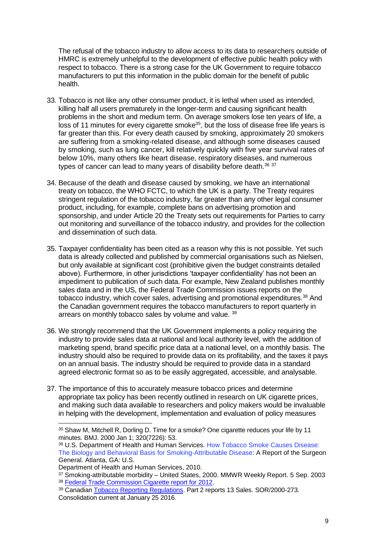The refusal of the tobacco industry to allow access to its data to researchers outside of HMRC is extremely unhelpful to the development of effective public health policy with respect to tobacco. There is a strong case for the UK Government to require tobacco manufacturers to put this information in the public domain for the benefit of public health.

- 33. Tobacco is not like any other consumer product, it is lethal when used as intended, killing half all users prematurely in the longer-term and causing significant health problems in the short and medium term. On average smokers lose ten years of life, a  $\frac{1}{10}$  ioss of 11 minutes for every cigarette smoke<sup>35</sup>, but the loss of disease free life years is far greater than this. For every death caused by smoking, approximately 20 smokers are suffering from a smoking-related disease, and although some diseases caused by smoking, such as lung cancer, kill relatively quickly with five year survival rates of below 10%, many others like heart disease, respiratory diseases, and numerous types of cancer can lead to many years of disability before death.<sup>36 37</sup>
- 34. Because of the death and disease caused by smoking, we have an international treaty on tobacco, the WHO FCTC, to which the UK is a party. The Treaty requires stringent regulation of the tobacco industry, far greater than any other legal consumer product, including, for example, complete bans on advertising promotion and sponsorship, and under Article 20 the Treaty sets out requirements for Parties to carry out monitoring and surveillance of the tobacco industry, and provides for the collection and dissemination of such data.
- 35. Taxpayer confidentiality has been cited as a reason why this is not possible. Yet such data is already collected and published by commercial organisations such as Nielsen, but only available at significant cost (prohibitive given the budget constraints detailed above). Furthermore, in other jurisdictions 'taxpayer confidentiality' has not been an impediment to publication of such data. For example, New Zealand publishes monthly sales data and in the US, the Federal Trade Commission issues reports on the tobacco industry, which cover sales, advertising and promotional expenditures.<sup>38</sup> And the Canadian government requires the tobacco manufacturers to report quarterly in arrears on monthly tobacco sales by volume and value. 39
- 36. We strongly recommend that the UK Government implements a policy requiring the industry to provide sales data at national and local authority level, with the addition of marketing spend, brand specific price data at a national level, on a monthly basis. The industry should also be required to provide data on its profitability, and the taxes it pays on an annual basis. The industry should be required to provide data in a standard agreed electronic format so as to be easily aggregated, accessible, and analysable.
- 37. The importance of this to accurately measure tobacco prices and determine appropriate tax policy has been recently outlined in research on UK cigarette prices, and making such data available to researchers and policy makers would be invaluable in helping with the development, implementation and evaluation of policy measures

<sup>&</sup>lt;sup>35</sup> Shaw M, Mitchell R, Dorling D. Time for a smoke? One cigarette reduces your life by 11 minutes. BMJ. 2000 Jan 1; 320(7226): 53.

<sup>36</sup> U.S. Department of Health and Human Services. How Tobacco Smoke Causes Disease: The Biology and Behavioral Basis for Smoking-Attributable Disease: A Report of the Surgeon General. Atlanta, GA: U.S.

Department of Health and Human Services, 2010.

<sup>37</sup> Smoking-attributable morbidity – United States, 2000. MMWR Weekly Report. 5 Sep. 2003 <sup>38</sup> [Federal Trade Commission Cigarette report for 2012.](https://www.ftc.gov/system/files/documents/reports/federal-trade-commission-cigarette-report-2012/150327-2012cigaretterpt.pdf)

<sup>39</sup> Canadian [Tobacco Reporting Regulations.](http://laws.justice.gc.ca/PDF/SOR-2000-273.pdf) Part 2 reports 13 Sales. SOR/2000-273. Consolidation current at January 25 2016.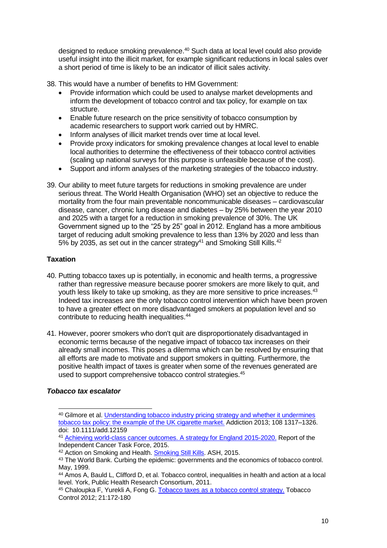designed to reduce smoking prevalence. <sup>40</sup> Such data at local level could also provide useful insight into the illicit market, for example significant reductions in local sales over a short period of time is likely to be an indicator of illicit sales activity.

- 38. This would have a number of benefits to HM Government:
	- Provide information which could be used to analyse market developments and inform the development of tobacco control and tax policy, for example on tax structure.
	- Enable future research on the price sensitivity of tobacco consumption by academic researchers to support work carried out by HMRC.
	- Inform analyses of illicit market trends over time at local level.
	- Provide proxy indicators for smoking prevalence changes at local level to enable local authorities to determine the effectiveness of their tobacco control activities (scaling up national surveys for this purpose is unfeasible because of the cost).
	- Support and inform analyses of the marketing strategies of the tobacco industry.
- 39. Our ability to meet future targets for reductions in smoking prevalence are under serious threat. The World Health Organisation (WHO) set an objective to reduce the mortality from the four main preventable noncommunicable diseases – cardiovascular disease, cancer, chronic lung disease and diabetes – by 25% between the year 2010 and 2025 with a target for a reduction in smoking prevalence of 30%. The UK Government signed up to the "25 by 25" goal in 2012. England has a more ambitious target of reducing adult smoking prevalence to less than 13% by 2020 and less than 5% by 2035, as set out in the cancer strategy<sup>41</sup> and Smoking Still Kills.<sup>42</sup>

# **Taxation**

- 40. Putting tobacco taxes up is potentially, in economic and health terms, a progressive rather than regressive measure because poorer smokers are more likely to quit, and youth less likely to take up smoking, as they are more sensitive to price increases.<sup>43</sup> Indeed tax increases are the only tobacco control intervention which have been proven to have a greater effect on more disadvantaged smokers at population level and so contribute to reducing health inequalities. 44
- 41. However, poorer smokers who don't quit are disproportionately disadvantaged in economic terms because of the negative impact of tobacco tax increases on their already small incomes. This poses a dilemma which can be resolved by ensuring that all efforts are made to motivate and support smokers in quitting. Furthermore, the positive health impact of taxes is greater when some of the revenues generated are used to support comprehensive tobacco control strategies.<sup>45</sup>

# *Tobacco tax escalator*

<sup>-</sup><sup>40</sup> Gilmore et al. [Understanding tobacco industry pricing strategy and whether it undermines](http://www.ncbi.nlm.nih.gov/pmc/articles/PMC3746125/)  [tobacco tax policy: the example of the UK cigarette market.](http://www.ncbi.nlm.nih.gov/pmc/articles/PMC3746125/) Addiction 2013; 108 1317–1326. doi: 10.1111/add.12159

<sup>41</sup> [Achieving world-class cancer outcomes. A strategy for England 2015-2020.](https://www.cancerresearchuk.org/sites/default/files/achieving_world-class_cancer_outcomes_-_a_strategy_for_england_2015-2020.pdf) Report of the Independent Cancer Task Force, 2015.

<sup>42</sup> Action on Smoking and Health. [Smoking Still Kills.](http://www.ash.org.uk/current-policy-issues/smoking-still-kills.) ASH, 2015.

<sup>43</sup> The World Bank. Curbing the epidemic: governments and the economics of tobacco control. May, 1999.

<sup>44</sup> Amos A, Bauld L, Clifford D, et al. Tobacco control, inequalities in health and action at a local level. York, Public Health Research Consortium, 2011.

<sup>45</sup> Chaloupka F, Yurekli A, Fong G. [Tobacco taxes as a tobacco control strategy.](http://tobaccocontrol.bmj.com/content/21/2/172.abstract) Tobacco Control 2012; 21:172-180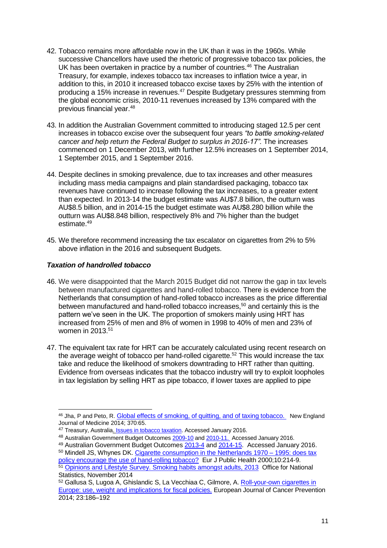- 42. Tobacco remains more affordable now in the UK than it was in the 1960s. While successive Chancellors have used the rhetoric of progressive tobacco tax policies, the UK has been overtaken in practice by a number of countries.<sup>46</sup> The Australian Treasury, for example, indexes tobacco tax increases to inflation twice a year, in addition to this, in 2010 it increased tobacco excise taxes by 25% with the intention of producing a 15% increase in revenues.<sup>47</sup> Despite Budgetary pressures stemming from the global economic crisis, 2010-11 revenues increased by 13% compared with the previous financial year. 48
- 43. In addition the Australian Government committed to introducing staged 12.5 per cent increases in tobacco excise over the subsequent four years *"to battle smoking-related cancer and help return the Federal Budget to surplus in 2016-17".* The increases commenced on 1 December 2013, with further 12.5% increases on 1 September 2014, 1 September 2015, and 1 September 2016.
- 44. Despite declines in smoking prevalence, due to tax increases and other measures including mass media campaigns and plain standardised packaging, tobacco tax revenues have continued to increase following the tax increases, to a greater extent than expected. In 2013-14 the budget estimate was AU\$7.8 billion, the outturn was AU\$8.5 billion, and in 2014-15 the budget estimate was AU\$8.280 billion while the outturn was AU\$8.848 billion, respectively 8% and 7% higher than the budget estimate.<sup>49</sup>
- 45. We therefore recommend increasing the tax escalator on cigarettes from 2% to 5% above inflation in the 2016 and subsequent Budgets.

## *Taxation of handrolled tobacco*

<span id="page-10-0"></span>1

- 46. We were disappointed that the March 2015 Budget did not narrow the gap in tax levels between manufactured cigarettes and hand-rolled tobacco. There is evidence from the Netherlands that consumption of hand-rolled tobacco increases as the price differential between manufactured and hand-rolled tobacco increases,<sup>50</sup> and certainly this is the pattern we've seen in the UK. The proportion of smokers mainly using HRT has increased from 25% of men and 8% of women in 1998 to 40% of men and 23% of women in 2013.<sup>51</sup>
- 47. The equivalent tax rate for HRT can be accurately calculated using recent research on the average weight of tobacco per hand-rolled cigarette.<sup>52</sup> This would increase the tax take and reduce the likelihood of smokers downtrading to HRT rather than quitting. Evidence from overseas indicates that the tobacco industry will try to exploit loopholes in tax legislation by selling HRT as pipe tobacco, if lower taxes are applied to pipe

<sup>48</sup> Australian Government Budget Outcomes [2009-10](http://www.budget.gov.au/2009-10/content/fbo/html/part_1.htm) and [2010-11.](http://www.budget.gov.au/2010-11/content/fbo/download/FBO_2010-11_Consolidated.pdf) Accessed January 2016. <sup>49</sup> Australian Government Budget Outcomes [2013-4](http://budget.gov.au/2013-14/content/fbo/download/Consolidated.pdf) and [2014-15.](http://budget.gov.au/2014-15/content/fbo/downloads/01_part_1.pdf) Accessed January 2016.

<sup>46</sup> Jha, P and Peto, R. [Global effects of smoking, of quitting, and of taxing tobacco.](http://www.nejm.org/doi/full/10.1056/NEJMra1308383) New England Journal of Medicine 2014; 370:65.

<sup>47</sup> Treasury, Australia. **Issues in tobacco taxation**. Accessed January 2016.

<sup>&</sup>lt;sup>50</sup> Mindell JS, Whynes DK. [Cigarette consumption in the Netherlands 1970 –](http://discovery.ucl.ac.uk/896/) 1995: does tax [policy encourage the use of hand-rolling tobacco?](http://discovery.ucl.ac.uk/896/) Eur J Public Health 2000;10:214-9. 51 [Opinions and Lifestyle Survey. Smoking habits amongst adults, 2013](http://www.ons.gov.uk/ons/rel/ghs/opinions-and-lifestyle-survey/adult-smoking-habits-in-great-britain--2013/index.html) Office for National

Statistics, November 2014 <sup>52</sup> Gallusa S, Lugoa A, Ghislandic S, La Vecchiaa C, Gilmore, A. [Roll-your-own cigarettes in](http://www.ncbi.nlm.nih.gov/pubmed/24500021)  [Europe: use, weight and implications for fiscal policies.](http://www.ncbi.nlm.nih.gov/pubmed/24500021) European Journal of Cancer Prevention 2014; 23:186–192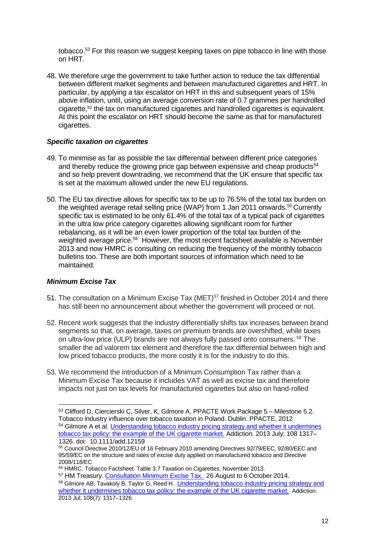tobacco.<sup>53</sup> For this reason we suggest keeping taxes on pipe tobacco in line with those on HRT.

48. We therefore urge the government to take further action to reduce the tax differential between different market segments and between manufactured cigarettes and HRT. In particular, by applying a tax escalator on HRT in this and subsequent years of 15% above inflation, until, using an average conversion rate of 0.7 grammes per handrolled cigarette,[52](#page-10-0) the tax on manufactured cigarettes and handrolled cigarettes is equivalent. At this point the escalator on HRT should become the same as that for manufactured cigarettes.

#### *Specific taxation on cigarettes*

- 49. To minimise as far as possible the tax differential between different price categories and thereby reduce the growing price gap between expensive and cheap products $54$ and so help prevent downtrading, we recommend that the UK ensure that specific tax is set at the maximum allowed under the new EU regulations.
- 50. The EU tax directive allows for specific tax to be up to 76.5% of the total tax burden on the weighted average retail selling price (WAP) from 1 Jan 2011 onwards.<sup>55</sup> Currently specific tax is estimated to be only 61.4% of the total tax of a typical pack of cigarettes in the ultra low price category cigarettes allowing significant room for further rebalancing, as it will be an even lower proportion of the total tax burden of the weighted average price.<sup>56</sup> However, the most recent factsheet available is November 2013 and now HMRC is consulting on reducing the frequency of the monthly tobacco bulletins too. These are both important sources of information which need to be maintained.

#### *Minimum Excise Tax*

- 51. The consultation on a Minimum Excise Tax (MET)<sup>57</sup> finished in October 2014 and there has still been no announcement about whether the government will proceed or not.
- 52. Recent work suggests that the industry differentially shifts tax increases between brand segments so that, on average, taxes on premium brands are overshifted, while taxes on ultra-low price (ULP) brands are not always fully passed onto consumers. <sup>58</sup> The smaller the ad valorem tax element and therefore the tax differential between high and low priced tobacco products, the more costly it is for the industry to do this.
- 53. We recommend the introduction of a Minimum Consumption Tax rather than a Minimum Excise Tax because it includes VAT as well as excise tax and therefore impacts not just on tax levels for manufactured cigarettes but also on hand-rolled

<sup>53</sup> Clifford D, Ciercierski C, Silver, K, Gilmore A. PPACTE Work Package 5 – Milestone 5.2. Tobacco industry influence over tobacco taxation in Poland. Dublin. PPACTE, 2012 54 Gilmore A et al. *Understanding tobacco industry pricing strategy and whether it undermines* [tobacco tax policy: the example of the UK cigarette market.](http://www.ncbi.nlm.nih.gov/pubmed/23445255) Addiction. 2013 July; 108 1317– 1326. doi: 10.1111/add.12159

<sup>55</sup> Council Directive 2010/12/EU of 16 February 2010 amending Directives 92/79/EEC, 92/80/EEC and 95/59/EC on the structure and rates of excise duty applied on manufactured tobacco and Directive 2008/118/EC

<sup>56</sup> HMRC. Tobacco Factsheet. Table 3.7 Taxation on Cigarettes. November 2013.

<sup>&</sup>lt;sup>57</sup> HM Treasury. [Consultation Minimum Excise Tax.](https://www.gov.uk/government/consultations/minimum-excise-tax) 26 August to 6 October 2014. 58 Gilmore AB, Tavakoly B, Taylor G, Reed H. Understanding tobacco industry pricing strategy and whether it undermines tobacco tax [policy: the example of the UK cigarette market.](http://www.ncbi.nlm.nih.gov/pubmed/23445255) Addiction. 2013 Jul; 108(7): 1317–1326.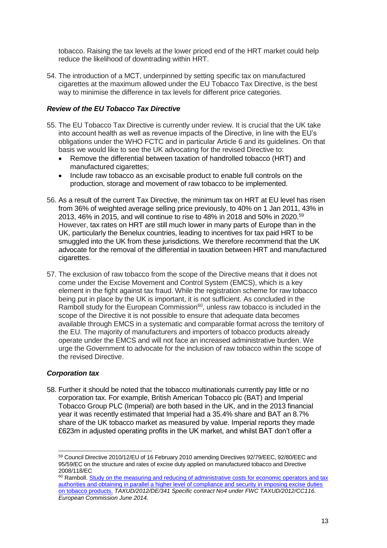tobacco. Raising the tax levels at the lower priced end of the HRT market could help reduce the likelihood of downtrading within HRT.

54. The introduction of a MCT, underpinned by setting specific tax on manufactured cigarettes at the maximum allowed under the EU Tobacco Tax Directive, is the best way to minimise the difference in tax levels for different price categories.

#### *Review of the EU Tobacco Tax Directive*

- 55. The EU Tobacco Tax Directive is currently under review. It is crucial that the UK take into account health as well as revenue impacts of the Directive, in line with the EU's obligations under the WHO FCTC and in particular Article 6 and its guidelines. On that basis we would like to see the UK advocating for the revised Directive to:
	- Remove the differential between taxation of handrolled tobacco (HRT) and manufactured cigarettes;
	- Include raw tobacco as an excisable product to enable full controls on the production, storage and movement of raw tobacco to be implemented.
- 56. As a result of the current Tax Directive, the minimum tax on HRT at EU level has risen from 36% of weighted average selling price previously, to 40% on 1 Jan 2011, 43% in 2013, 46% in 2015, and will continue to rise to 48% in 2018 and 50% in 2020.<sup>59</sup> However, tax rates on HRT are still much lower in many parts of Europe than in the UK, particularly the Benelux countries, leading to incentives for tax paid HRT to be smuggled into the UK from these jurisdictions. We therefore recommend that the UK advocate for the removal of the differential in taxation between HRT and manufactured cigarettes.
- 57. The exclusion of raw tobacco from the scope of the Directive means that it does not come under the Excise Movement and Control System (EMCS), which is a key element in the fight against tax fraud. While the registration scheme for raw tobacco being put in place by the UK is important, it is not sufficient. As concluded in the Ramboll study for the European Commission $60$ , unless raw tobacco is included in the scope of the Directive it is not possible to ensure that adequate data becomes available through EMCS in a systematic and comparable format across the territory of the EU. The majority of manufacturers and importers of tobacco products already operate under the EMCS and will not face an increased administrative burden. We urge the Government to advocate for the inclusion of raw tobacco within the scope of the revised Directive.

#### *Corporation tax*

1

58. Further it should be noted that the tobacco multinationals currently pay little or no corporation tax. For example, British American Tobacco plc (BAT) and Imperial Tobacco Group PLC (Imperial) are both based in the UK, and in the 2013 financial year it was recently estimated that Imperial had a 35.4% share and BAT an 8.7% share of the UK tobacco market as measured by value. Imperial reports they made £623m in adjusted operating profits in the UK market, and whilst BAT don't offer a

<sup>59</sup> Council Directive 2010/12/EU of 16 February 2010 amending Directives 92/79/EEC, 92/80/EEC and 95/59/EC on the structure and rates of excise duty applied on manufactured tobacco and Directive 2008/118/EC

<sup>&</sup>lt;sup>60</sup> Ramboll. Study on the measuring and reducing of administrative costs for economic operators and tax [authorities and obtaining in parallel a higher level of compliance and security in imposing excise duties](http://ec.europa.eu/taxation_customs/resources/documents/taxation/excise_duties/tobacco_products/studies_reports/ramboll-tobacco-study.pdf)  [on tobacco products.](http://ec.europa.eu/taxation_customs/resources/documents/taxation/excise_duties/tobacco_products/studies_reports/ramboll-tobacco-study.pdf) *TAXUD/2012/DE/341 Specific contract No4 under FWC TAXUD/2012/CC116. European Commission June 2014.*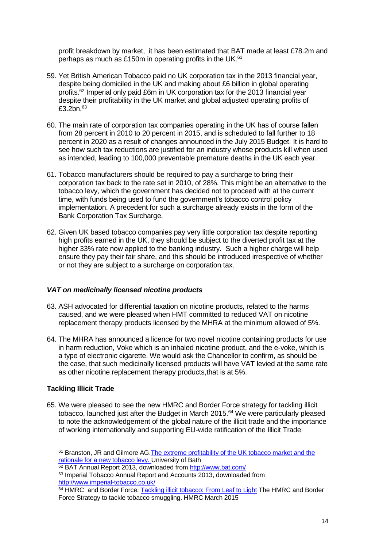profit breakdown by market, it has been estimated that BAT made at least £78.2m and perhaps as much as £150m in operating profits in the UK. $61$ 

- 59. Yet British American Tobacco paid no UK corporation tax in the 2013 financial year, despite being domiciled in the UK and making about £6 billion in global operating profits.<sup>62</sup> Imperial only paid £6m in UK corporation tax for the 2013 financial year despite their profitability in the UK market and global adjusted operating profits of  $£3.2$ bn. $63$
- 60. The main rate of corporation tax companies operating in the UK has of course fallen from 28 percent in 2010 to 20 percent in 2015, and is scheduled to fall further to 18 percent in 2020 as a result of changes announced in the July 2015 Budget. It is hard to see how such tax reductions are justified for an industry whose products kill when used as intended, leading to 100,000 preventable premature deaths in the UK each year.
- 61. Tobacco manufacturers should be required to pay a surcharge to bring their corporation tax back to the rate set in 2010, of 28%. This might be an alternative to the tobacco levy, which the government has decided not to proceed with at the current time, with funds being used to fund the government's tobacco control policy implementation. A precedent for such a surcharge already exists in the form of the Bank Corporation Tax Surcharge.
- 62. Given UK based tobacco companies pay very little corporation tax despite reporting high profits earned in the UK, they should be subject to the diverted profit tax at the higher 33% rate now applied to the banking industry. Such a higher charge will help ensure they pay their fair share, and this should be introduced irrespective of whether or not they are subject to a surcharge on corporation tax.

#### *VAT on medicinally licensed nicotine products*

- 63. ASH advocated for differential taxation on nicotine products, related to the harms caused, and we were pleased when HMT committed to reduced VAT on nicotine replacement therapy products licensed by the MHRA at the minimum allowed of 5%.
- 64. The MHRA has announced a licence for two novel nicotine containing products for use in harm reduction, Voke which is an inhaled nicotine product, and the e-voke, which is a type of electronic cigarette. We would ask the Chancellor to confirm, as should be the case, that such medicinally licensed products will have VAT levied at the same rate as other nicotine replacement therapy products,that is at 5%.

# **Tackling Illicit Trade**

<span id="page-13-0"></span>-

65. We were pleased to see the new HMRC and Border Force strategy for tackling illicit tobacco, launched just after the Budget in March 2015.<sup>64</sup> We were particularly pleased to note the acknowledgement of the global nature of the illicit trade and the importance of working internationally and supporting EU-wide ratification of the Illicit Trade

<sup>61</sup> Branston, JR and Gilmore AG[.The extreme profitability of the UK tobacco market and the](http://opus.bath.ac.uk/43061/)  [rationale for a new tobacco levy.](http://opus.bath.ac.uk/43061/) University of Bath

<sup>62</sup> BAT Annual Report 2013, downloaded from<http://www.bat.com/>

<sup>63</sup> Imperial Tobacco Annual Report and Accounts 2013, downloaded from <http://www.imperial-tobacco.co.uk/>

<sup>64</sup> HMRC and Border Force. [Tackling illicit tobacco: From Leaf to Light](https://www.gov.uk/government/publications/tackling-illicit-tobacco-from-leaf-to-light) The HMRC and Border Force Strategy to tackle tobacco smuggling. HMRC March 2015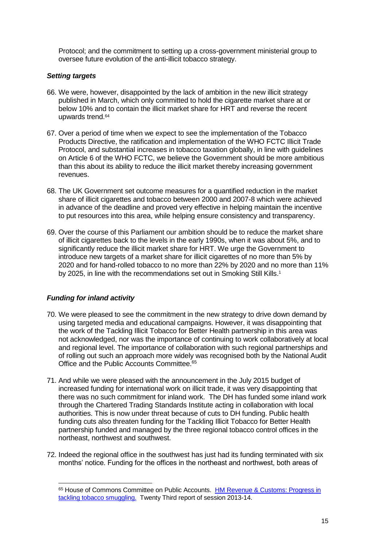Protocol; and the commitment to setting up a cross-government ministerial group to oversee future evolution of the anti-illicit tobacco strategy.

#### *Setting targets*

- 66. We were, however, disappointed by the lack of ambition in the new illicit strategy published in March, which only committed to hold the cigarette market share at or below 10% and to contain the illicit market share for HRT and reverse the recent upwards trend.[64](#page-13-0)
- 67. Over a period of time when we expect to see the implementation of the Tobacco Products Directive, the ratification and implementation of the WHO FCTC Illicit Trade Protocol, and substantial increases in tobacco taxation globally, in line with guidelines on Article 6 of the WHO FCTC, we believe the Government should be more ambitious than this about its ability to reduce the illicit market thereby increasing government revenues.
- 68. The UK Government set outcome measures for a quantified reduction in the market share of illicit cigarettes and tobacco between 2000 and 2007-8 which were achieved in advance of the deadline and proved very effective in helping maintain the incentive to put resources into this area, while helping ensure consistency and transparency.
- 69. Over the course of this Parliament our ambition should be to reduce the market share of illicit cigarettes back to the levels in the early 1990s, when it was about 5%, and to significantly reduce the illicit market share for HRT. We urge the Government to introduce new targets of a market share for illicit cigarettes of no more than 5% by 2020 and for hand-rolled tobacco to no more than 22% by 2020 and no more than 11% by 2025, in line with the recommendations set out in Smoking Still Kills[.](#page-1-0)<sup>1</sup>

#### *Funding for inland activity*

- 70. We were pleased to see the commitment in the new strategy to drive down demand by using targeted media and educational campaigns. However, it was disappointing that the work of the Tackling Illicit Tobacco for Better Health partnership in this area was not acknowledged, nor was the importance of continuing to work collaboratively at local and regional level. The importance of collaboration with such regional partnerships and of rolling out such an approach more widely was recognised both by the National Audit Office and the Public Accounts Committee.<sup>65</sup>
- 71. And while we were pleased with the announcement in the July 2015 budget of increased funding for international work on illicit trade, it was very disappointing that there was no such commitment for inland work. The DH has funded some inland work through the Chartered Trading Standards Institute acting in collaboration with local authorities. This is now under threat because of cuts to DH funding. Public health funding cuts also threaten funding for the Tackling Illicit Tobacco for Better Health partnership funded and managed by the three regional tobacco control offices in the northeast, northwest and southwest.
- 72. Indeed the regional office in the southwest has just had its funding terminated with six months' notice. Funding for the offices in the northeast and northwest, both areas of

<sup>65</sup> House of Commons Committee on Public Accounts. [HM Revenue & Customs: Progress in](http://www.publications.parliament.uk/pa/cm201314/cmselect/cmpubacc/297/297.pdf)  [tackling tobacco smuggling.](http://www.publications.parliament.uk/pa/cm201314/cmselect/cmpubacc/297/297.pdf) Twenty Third report of session 2013-14.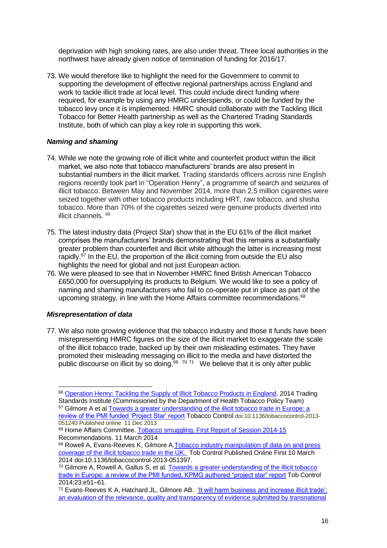deprivation with high smoking rates, are also under threat. Three local authorities in the northwest have already given notice of termination of funding for 2016/17.

73. We would therefore like to highlight the need for the Government to commit to supporting the development of effective regional partnerships across England and work to tackle illicit trade at local level. This could include direct funding where required, for example by using any HMRC underspends, or could be funded by the tobacco levy once it is implemented. HMRC should collaborate with the Tackling Illicit Tobacco for Better Health partnership as well as the Chartered Trading Standards Institute, both of which can play a key role in supporting this work.

## *Naming and shaming*

- 74. While we note the growing role of illicit white and counterfeit product within the illicit market, we also note that tobacco manufacturers' brands are also present in substantial numbers in the illicit market. Trading standards officers across nine English regions recently took part in "Operation Henry", a programme of search and seizures of illicit tobacco. Between May and November 2014, more than 2.5 million cigarettes were seized together with other tobacco products including HRT, raw tobacco, and shisha tobacco. More than 70% of the cigarettes seized were genuine products diverted into illicit channels. <sup>66</sup>
- 75. The latest industry data (Project Star) show that in the EU 61% of the illicit market comprises the manufacturers' brands demonstrating that this remains a substantially greater problem than counterfeit and illicit white although the latter is increasing most rapidly.<sup>67</sup> In the EU, the proportion of the illicit coming from outside the EU also highlights the need for global and not just European action.
- 76. We were pleased to see that in November HMRC fined British American Tobacco £650,000 for oversupplying its products to Belgium. We would like to see a policy of naming and shaming manufacturers who fail to co-operate put in place as part of the upcoming strategy, in line with the Home Affairs committee recommendations.<sup>68</sup>

# *Misrepresentation of data*

-

77. We also note growing evidence that the tobacco industry and those it funds have been misrepresenting HMRC figures on the size of the illicit market to exaggerate the scale of the illicit tobacco trade, backed up by their own misleading estimates. They have promoted their misleading messaging on illicit to the media and have distorted the public discourse on illicit by so doing. $69 \times 70 \times 71$  We believe that it is only after public

<sup>66</sup> [Operation Henry: Tackling the Supply of Illicit Tobacco Products in England.](http://www.tradingstandards.uk/policy/Improvingthehealthofsociety.cfm) 2014 Trading Standards Institute (Commissioned by the Department of Health Tobacco Policy Team) <sup>67</sup> Gilmore A et al Towards a greater understanding of the illicit tobacco trade in Europe: a [review of the PMI funded 'Project Star' report](doi:10.1136/tobaccocontrol-2013-051240) Tobacco Control doi:10.1136/tobaccocontrol-2013- 051240 Published online 11 Dec 2013

<sup>68</sup> Home Affairs Committee. [Tobacco smuggling. First Report of Session 2014-15](http://www.publications.parliament.uk/pa/cm201415/cmselect/cmhaff/200/200.pdf) Recommendations. 11 March 2014

<sup>69</sup> Rowell A, Evans-Reeves K, Gilmore A[.Tobacco industry manipulation of data on and press](http://tobaccocontrol.bmj.com/content/early/2014/03/10/tobaccocontrol-2013-051397.abstract)  [coverage of the illicit tobacco trade in the UK.](http://tobaccocontrol.bmj.com/content/early/2014/03/10/tobaccocontrol-2013-051397.abstract) Tob Control Published Online First 10 March 2014 doi:10.1136/tobaccocontrol-2013-051397.

<sup>&</sup>lt;sup>70</sup> Gilmore A, Rowell A, Gallus S, et al. Towards a greater understanding of the illicit tobacco [trade in Europe: a review of the PMI funded, KPMG authored "project star" report](http://tobaccocontrol.bmj.com/content/early/2013/12/11/tobaccocontrol-2013-051240.full) Tob Control 2014;23:e51–61.

<sup>71</sup> Evans-Reeves K A, Hatchard JL, Gilmore AB. ['It will harm business and increase illicit trade':](http://tobaccocontrol.bmj.com/content/early/2014/12/10/tobaccocontrol-2014-051930)  [an evaluation of the relevance, quality and transparency of evidence submitted by transnational](http://tobaccocontrol.bmj.com/content/early/2014/12/10/tobaccocontrol-2014-051930)